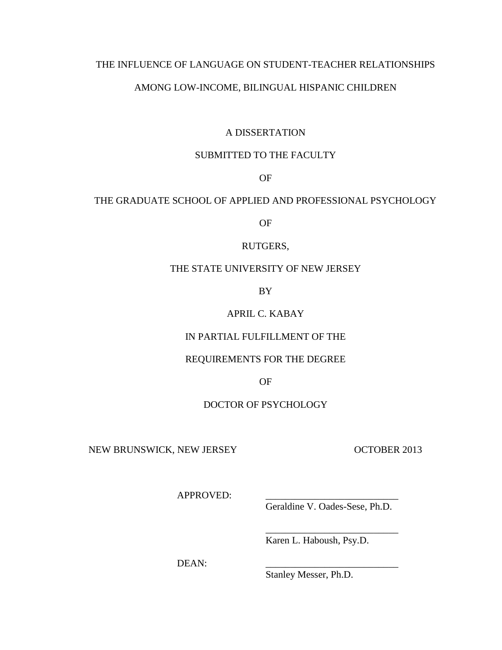## THE INFLUENCE OF LANGUAGE ON STUDENT-TEACHER RELATIONSHIPS

## AMONG LOW-INCOME, BILINGUAL HISPANIC CHILDREN

## A DISSERTATION

## SUBMITTED TO THE FACULTY

OF

# THE GRADUATE SCHOOL OF APPLIED AND PROFESSIONAL PSYCHOLOGY

OF

### RUTGERS,

## THE STATE UNIVERSITY OF NEW JERSEY

BY

# APRIL C. KABAY

## IN PARTIAL FULFILLMENT OF THE

## REQUIREMENTS FOR THE DEGREE

OF

## DOCTOR OF PSYCHOLOGY

NEW BRUNSWICK, NEW JERSEY OCTOBER 2013

APPROVED:

Geraldine V. Oades-Sese, Ph.D.

\_\_\_\_\_\_\_\_\_\_\_\_\_\_\_\_\_\_\_\_\_\_\_\_\_\_\_

Karen L. Haboush, Psy.D.

DEAN:

Stanley Messer, Ph.D.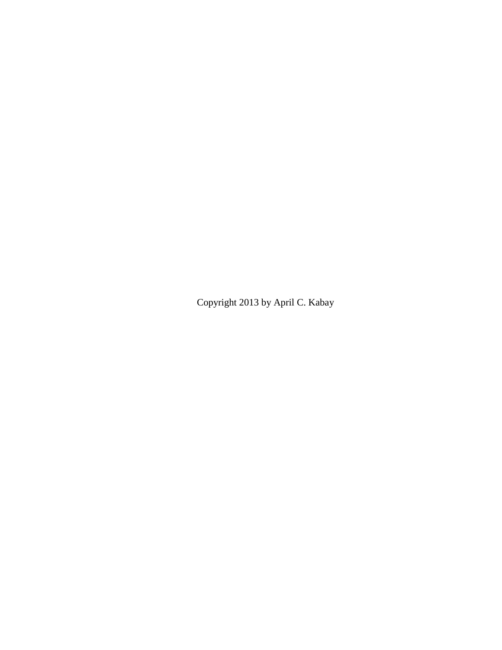Copyright 2013 by April C. Kabay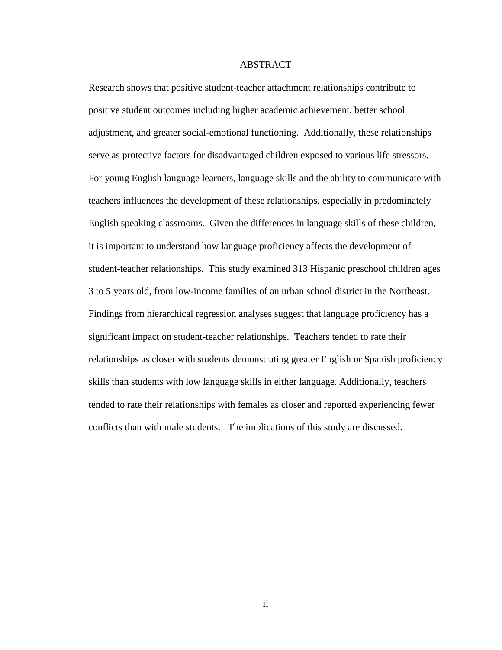### ABSTRACT

<span id="page-2-0"></span>Research shows that positive student-teacher attachment relationships contribute to positive student outcomes including higher academic achievement, better school adjustment, and greater social-emotional functioning. Additionally, these relationships serve as protective factors for disadvantaged children exposed to various life stressors. For young English language learners, language skills and the ability to communicate with teachers influences the development of these relationships, especially in predominately English speaking classrooms. Given the differences in language skills of these children, it is important to understand how language proficiency affects the development of student-teacher relationships. This study examined 313 Hispanic preschool children ages 3 to 5 years old, from low-income families of an urban school district in the Northeast. Findings from hierarchical regression analyses suggest that language proficiency has a significant impact on student-teacher relationships. Teachers tended to rate their relationships as closer with students demonstrating greater English or Spanish proficiency skills than students with low language skills in either language. Additionally, teachers tended to rate their relationships with females as closer and reported experiencing fewer conflicts than with male students. The implications of this study are discussed.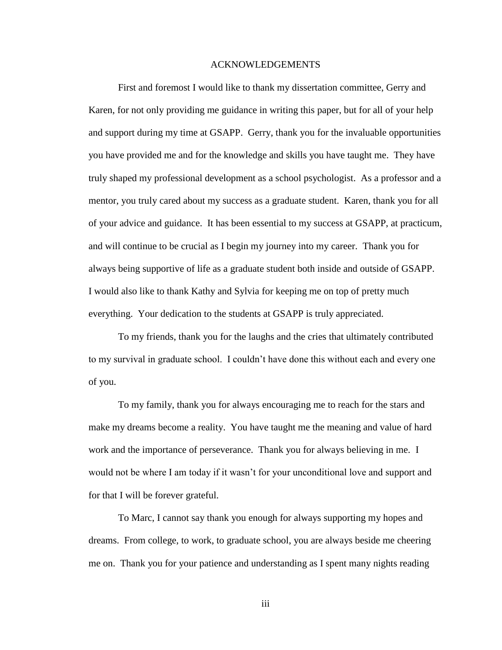### ACKNOWLEDGEMENTS

<span id="page-3-0"></span>First and foremost I would like to thank my dissertation committee, Gerry and Karen, for not only providing me guidance in writing this paper, but for all of your help and support during my time at GSAPP. Gerry, thank you for the invaluable opportunities you have provided me and for the knowledge and skills you have taught me. They have truly shaped my professional development as a school psychologist. As a professor and a mentor, you truly cared about my success as a graduate student. Karen, thank you for all of your advice and guidance. It has been essential to my success at GSAPP, at practicum, and will continue to be crucial as I begin my journey into my career. Thank you for always being supportive of life as a graduate student both inside and outside of GSAPP. I would also like to thank Kathy and Sylvia for keeping me on top of pretty much everything. Your dedication to the students at GSAPP is truly appreciated.

To my friends, thank you for the laughs and the cries that ultimately contributed to my survival in graduate school. I couldn't have done this without each and every one of you.

To my family, thank you for always encouraging me to reach for the stars and make my dreams become a reality. You have taught me the meaning and value of hard work and the importance of perseverance. Thank you for always believing in me. I would not be where I am today if it wasn't for your unconditional love and support and for that I will be forever grateful.

To Marc, I cannot say thank you enough for always supporting my hopes and dreams. From college, to work, to graduate school, you are always beside me cheering me on. Thank you for your patience and understanding as I spent many nights reading

iii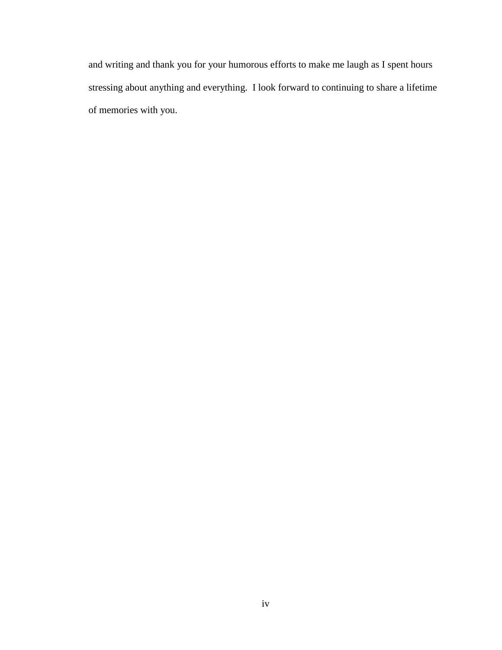and writing and thank you for your humorous efforts to make me laugh as I spent hours stressing about anything and everything. I look forward to continuing to share a lifetime of memories with you.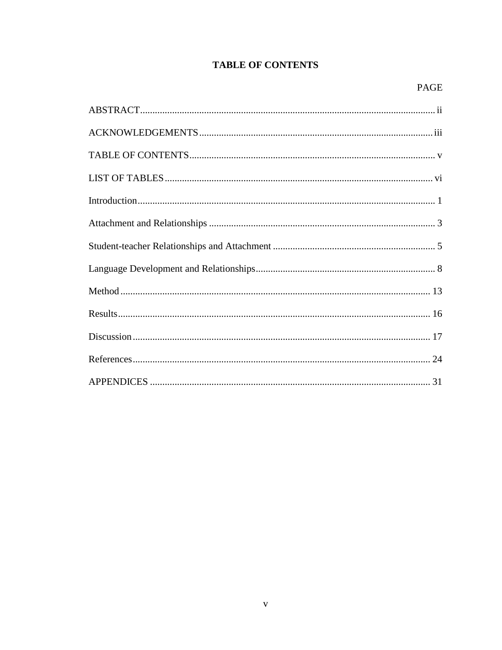# **TABLE OF CONTENTS**

<span id="page-5-0"></span>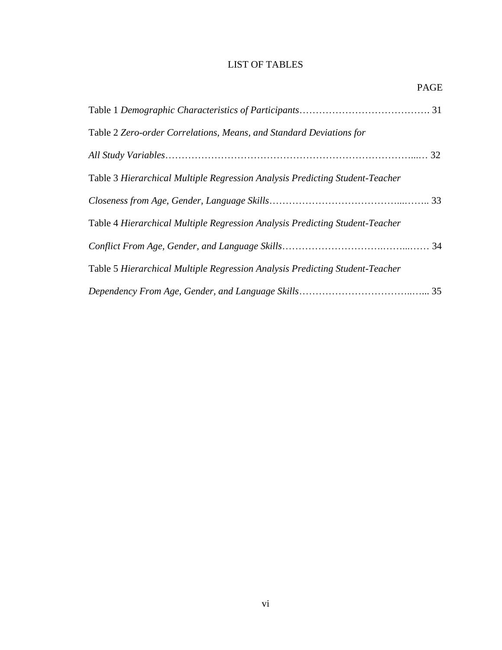# LIST OF TABLES

<span id="page-6-0"></span>

| Table 2 Zero-order Correlations, Means, and Standard Deviations for          |  |
|------------------------------------------------------------------------------|--|
|                                                                              |  |
| Table 3 Hierarchical Multiple Regression Analysis Predicting Student-Teacher |  |
|                                                                              |  |
| Table 4 Hierarchical Multiple Regression Analysis Predicting Student-Teacher |  |
|                                                                              |  |
| Table 5 Hierarchical Multiple Regression Analysis Predicting Student-Teacher |  |
|                                                                              |  |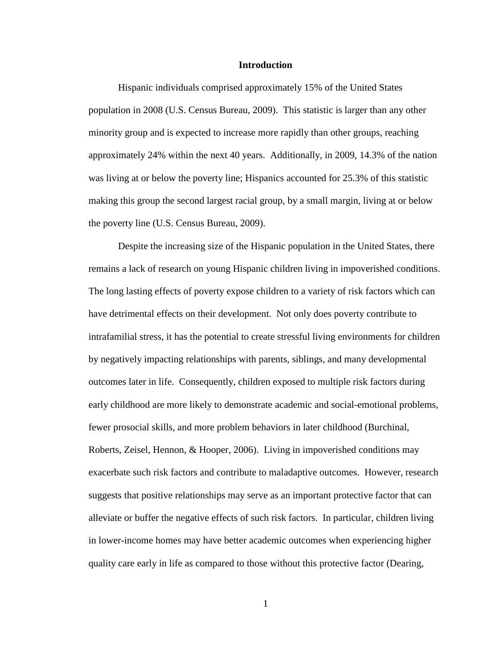### **Introduction**

<span id="page-7-0"></span>Hispanic individuals comprised approximately 15% of the United States population in 2008 (U.S. Census Bureau, 2009). This statistic is larger than any other minority group and is expected to increase more rapidly than other groups, reaching approximately 24% within the next 40 years. Additionally, in 2009, 14.3% of the nation was living at or below the poverty line; Hispanics accounted for 25.3% of this statistic making this group the second largest racial group, by a small margin, living at or below the poverty line (U.S. Census Bureau, 2009).

Despite the increasing size of the Hispanic population in the United States, there remains a lack of research on young Hispanic children living in impoverished conditions. The long lasting effects of poverty expose children to a variety of risk factors which can have detrimental effects on their development. Not only does poverty contribute to intrafamilial stress, it has the potential to create stressful living environments for children by negatively impacting relationships with parents, siblings, and many developmental outcomes later in life. Consequently, children exposed to multiple risk factors during early childhood are more likely to demonstrate academic and social-emotional problems, fewer prosocial skills, and more problem behaviors in later childhood (Burchinal, Roberts, Zeisel, Hennon, & Hooper, 2006). Living in impoverished conditions may exacerbate such risk factors and contribute to maladaptive outcomes. However, research suggests that positive relationships may serve as an important protective factor that can alleviate or buffer the negative effects of such risk factors. In particular, children living in lower-income homes may have better academic outcomes when experiencing higher quality care early in life as compared to those without this protective factor (Dearing,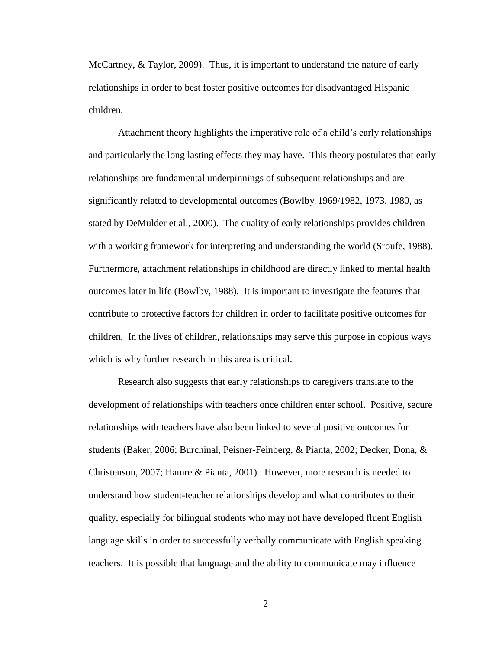McCartney, & Taylor, 2009). Thus, it is important to understand the nature of early relationships in order to best foster positive outcomes for disadvantaged Hispanic children.

Attachment theory highlights the imperative role of a child's early relationships and particularly the long lasting effects they may have. This theory postulates that early relationships are fundamental underpinnings of subsequent relationships and are significantly related to developmental outcomes (Bowlby, 1969/1982, 1973, 1980, as stated by DeMulder et al., 2000). The quality of early relationships provides children with a working framework for interpreting and understanding the world (Sroufe, 1988). Furthermore, attachment relationships in childhood are directly linked to mental health outcomes later in life (Bowlby, 1988). It is important to investigate the features that contribute to protective factors for children in order to facilitate positive outcomes for children. In the lives of children, relationships may serve this purpose in copious ways which is why further research in this area is critical.

Research also suggests that early relationships to caregivers translate to the development of relationships with teachers once children enter school. Positive, secure relationships with teachers have also been linked to several positive outcomes for students (Baker, 2006; Burchinal, Peisner-Feinberg, & Pianta, 2002; Decker, Dona, & Christenson, 2007; Hamre & Pianta, 2001). However, more research is needed to understand how student-teacher relationships develop and what contributes to their quality, especially for bilingual students who may not have developed fluent English language skills in order to successfully verbally communicate with English speaking teachers. It is possible that language and the ability to communicate may influence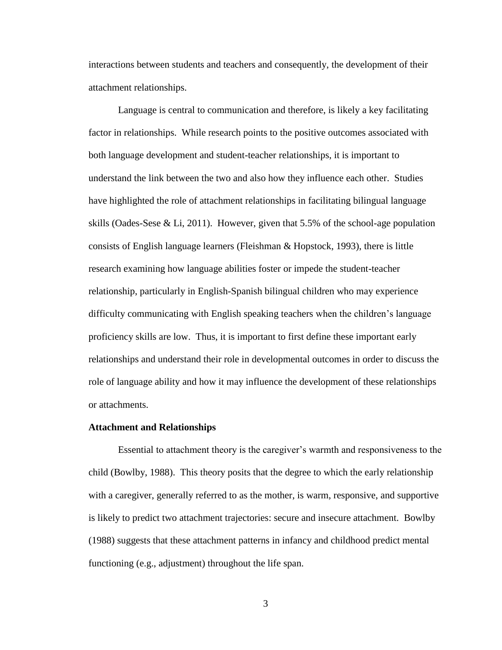interactions between students and teachers and consequently, the development of their attachment relationships.

Language is central to communication and therefore, is likely a key facilitating factor in relationships. While research points to the positive outcomes associated with both language development and student-teacher relationships, it is important to understand the link between the two and also how they influence each other. Studies have highlighted the role of attachment relationships in facilitating bilingual language skills (Oades-Sese & Li, 2011). However, given that 5.5% of the school-age population consists of English language learners (Fleishman  $\&$  Hopstock, 1993), there is little research examining how language abilities foster or impede the student-teacher relationship, particularly in English-Spanish bilingual children who may experience difficulty communicating with English speaking teachers when the children's language proficiency skills are low. Thus, it is important to first define these important early relationships and understand their role in developmental outcomes in order to discuss the role of language ability and how it may influence the development of these relationships or attachments.

#### <span id="page-9-0"></span>**Attachment and Relationships**

Essential to attachment theory is the caregiver's warmth and responsiveness to the child (Bowlby, 1988). This theory posits that the degree to which the early relationship with a caregiver, generally referred to as the mother, is warm, responsive, and supportive is likely to predict two attachment trajectories: secure and insecure attachment. Bowlby (1988) suggests that these attachment patterns in infancy and childhood predict mental functioning (e.g., adjustment) throughout the life span.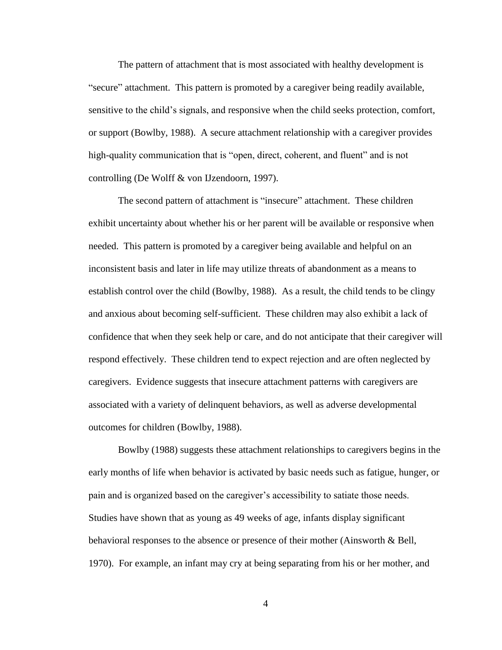The pattern of attachment that is most associated with healthy development is "secure" attachment. This pattern is promoted by a caregiver being readily available, sensitive to the child's signals, and responsive when the child seeks protection, comfort, or support (Bowlby, 1988). A secure attachment relationship with a caregiver provides high-quality communication that is "open, direct, coherent, and fluent" and is not controlling (De Wolff & von IJzendoorn, 1997).

The second pattern of attachment is "insecure" attachment. These children exhibit uncertainty about whether his or her parent will be available or responsive when needed. This pattern is promoted by a caregiver being available and helpful on an inconsistent basis and later in life may utilize threats of abandonment as a means to establish control over the child (Bowlby, 1988). As a result, the child tends to be clingy and anxious about becoming self-sufficient. These children may also exhibit a lack of confidence that when they seek help or care, and do not anticipate that their caregiver will respond effectively. These children tend to expect rejection and are often neglected by caregivers. Evidence suggests that insecure attachment patterns with caregivers are associated with a variety of delinquent behaviors, as well as adverse developmental outcomes for children (Bowlby, 1988).

Bowlby (1988) suggests these attachment relationships to caregivers begins in the early months of life when behavior is activated by basic needs such as fatigue, hunger, or pain and is organized based on the caregiver's accessibility to satiate those needs. Studies have shown that as young as 49 weeks of age, infants display significant behavioral responses to the absence or presence of their mother (Ainsworth & Bell, 1970). For example, an infant may cry at being separating from his or her mother, and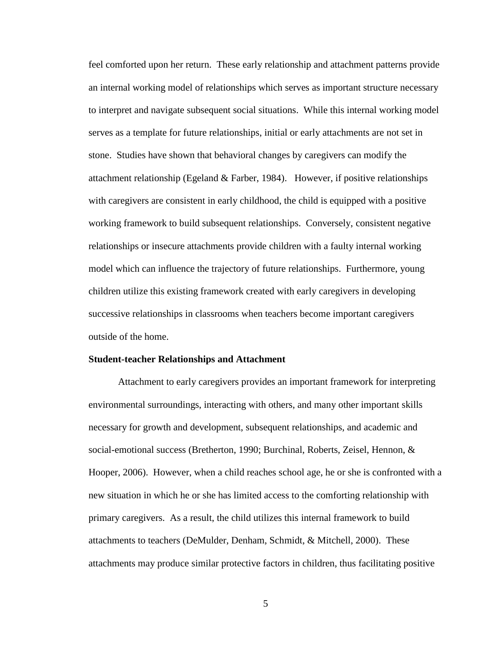feel comforted upon her return. These early relationship and attachment patterns provide an internal working model of relationships which serves as important structure necessary to interpret and navigate subsequent social situations. While this internal working model serves as a template for future relationships, initial or early attachments are not set in stone. Studies have shown that behavioral changes by caregivers can modify the attachment relationship (Egeland & Farber, 1984). However, if positive relationships with caregivers are consistent in early childhood, the child is equipped with a positive working framework to build subsequent relationships. Conversely, consistent negative relationships or insecure attachments provide children with a faulty internal working model which can influence the trajectory of future relationships. Furthermore, young children utilize this existing framework created with early caregivers in developing successive relationships in classrooms when teachers become important caregivers outside of the home.

#### <span id="page-11-0"></span>**Student-teacher Relationships and Attachment**

Attachment to early caregivers provides an important framework for interpreting environmental surroundings, interacting with others, and many other important skills necessary for growth and development, subsequent relationships, and academic and social-emotional success (Bretherton, 1990; Burchinal, Roberts, Zeisel, Hennon, & Hooper, 2006). However, when a child reaches school age, he or she is confronted with a new situation in which he or she has limited access to the comforting relationship with primary caregivers. As a result, the child utilizes this internal framework to build attachments to teachers (DeMulder, Denham, Schmidt, & Mitchell, 2000). These attachments may produce similar protective factors in children, thus facilitating positive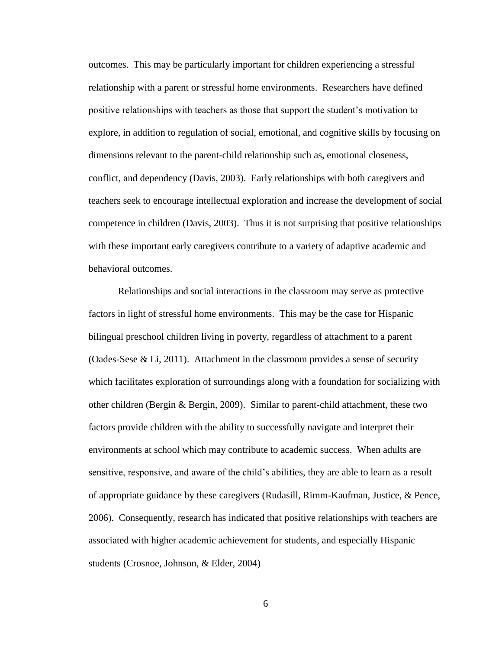outcomes. This may be particularly important for children experiencing a stressful relationship with a parent or stressful home environments. Researchers have defined positive relationships with teachers as those that support the student's motivation to explore, in addition to regulation of social, emotional, and cognitive skills by focusing on dimensions relevant to the parent-child relationship such as, emotional closeness, conflict, and dependency (Davis, 2003). Early relationships with both caregivers and teachers seek to encourage intellectual exploration and increase the development of social competence in children (Davis, 2003). Thus it is not surprising that positive relationships with these important early caregivers contribute to a variety of adaptive academic and behavioral outcomes.

Relationships and social interactions in the classroom may serve as protective factors in light of stressful home environments. This may be the case for Hispanic bilingual preschool children living in poverty, regardless of attachment to a parent (Oades-Sese & Li, 2011). Attachment in the classroom provides a sense of security which facilitates exploration of surroundings along with a foundation for socializing with other children (Bergin & Bergin, 2009). Similar to parent-child attachment, these two factors provide children with the ability to successfully navigate and interpret their environments at school which may contribute to academic success. When adults are sensitive, responsive, and aware of the child's abilities, they are able to learn as a result of appropriate guidance by these caregivers (Rudasill, Rimm-Kaufman, Justice, & Pence, 2006). Consequently, research has indicated that positive relationships with teachers are associated with higher academic achievement for students, and especially Hispanic students (Crosnoe, Johnson, & Elder, 2004)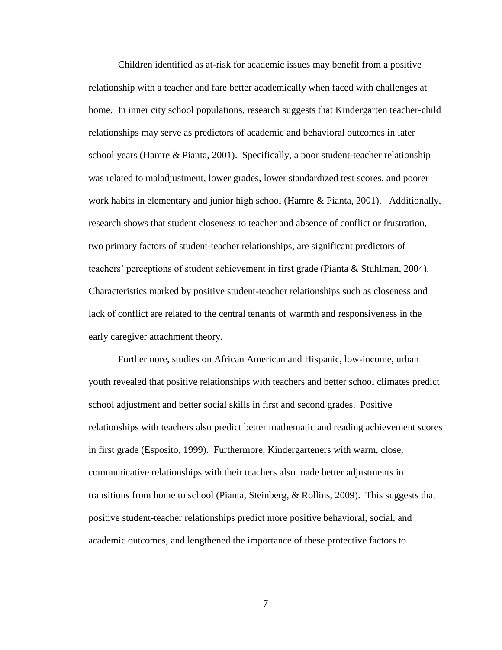Children identified as at-risk for academic issues may benefit from a positive relationship with a teacher and fare better academically when faced with challenges at home. In inner city school populations, research suggests that Kindergarten teacher-child relationships may serve as predictors of academic and behavioral outcomes in later school years (Hamre & Pianta, 2001). Specifically, a poor student-teacher relationship was related to maladjustment, lower grades, lower standardized test scores, and poorer work habits in elementary and junior high school (Hamre & Pianta, 2001). Additionally, research shows that student closeness to teacher and absence of conflict or frustration, two primary factors of student-teacher relationships, are significant predictors of teachers' perceptions of student achievement in first grade (Pianta & Stuhlman, 2004). Characteristics marked by positive student-teacher relationships such as closeness and lack of conflict are related to the central tenants of warmth and responsiveness in the early caregiver attachment theory.

Furthermore, studies on African American and Hispanic, low-income, urban youth revealed that positive relationships with teachers and better school climates predict school adjustment and better social skills in first and second grades. Positive relationships with teachers also predict better mathematic and reading achievement scores in first grade (Esposito, 1999). Furthermore, Kindergarteners with warm, close, communicative relationships with their teachers also made better adjustments in transitions from home to school (Pianta, Steinberg, & Rollins, 2009). This suggests that positive student-teacher relationships predict more positive behavioral, social, and academic outcomes, and lengthened the importance of these protective factors to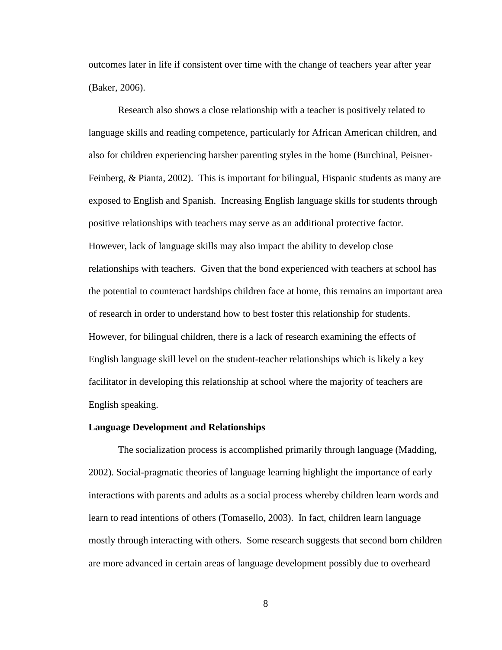outcomes later in life if consistent over time with the change of teachers year after year (Baker, 2006).

Research also shows a close relationship with a teacher is positively related to language skills and reading competence, particularly for African American children, and also for children experiencing harsher parenting styles in the home (Burchinal, Peisner-Feinberg, & Pianta, 2002). This is important for bilingual, Hispanic students as many are exposed to English and Spanish. Increasing English language skills for students through positive relationships with teachers may serve as an additional protective factor. However, lack of language skills may also impact the ability to develop close relationships with teachers. Given that the bond experienced with teachers at school has the potential to counteract hardships children face at home, this remains an important area of research in order to understand how to best foster this relationship for students. However, for bilingual children, there is a lack of research examining the effects of English language skill level on the student-teacher relationships which is likely a key facilitator in developing this relationship at school where the majority of teachers are English speaking.

#### <span id="page-14-0"></span>**Language Development and Relationships**

The socialization process is accomplished primarily through language (Madding, 2002). Social-pragmatic theories of language learning highlight the importance of early interactions with parents and adults as a social process whereby children learn words and learn to read intentions of others (Tomasello, 2003). In fact, children learn language mostly through interacting with others. Some research suggests that second born children are more advanced in certain areas of language development possibly due to overheard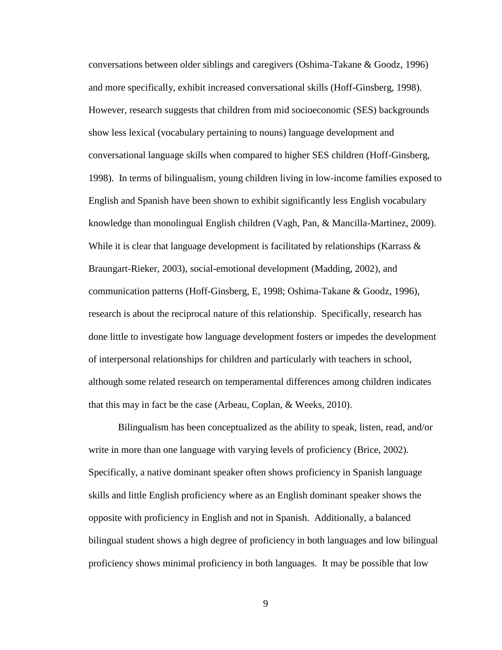conversations between older siblings and caregivers (Oshima-Takane & Goodz, 1996) and more specifically, exhibit increased conversational skills (Hoff-Ginsberg, 1998). However, research suggests that children from mid socioeconomic (SES) backgrounds show less lexical (vocabulary pertaining to nouns) language development and conversational language skills when compared to higher SES children (Hoff-Ginsberg, 1998). In terms of bilingualism, young children living in low-income families exposed to English and Spanish have been shown to exhibit significantly less English vocabulary knowledge than monolingual English children (Vagh, Pan, & Mancilla-Martinez, 2009). While it is clear that language development is facilitated by relationships (Karrass  $\&$ Braungart-Rieker, 2003), social-emotional development (Madding, 2002), and communication patterns (Hoff-Ginsberg, E, 1998; Oshima-Takane & Goodz, 1996), research is about the reciprocal nature of this relationship. Specifically, research has done little to investigate how language development fosters or impedes the development of interpersonal relationships for children and particularly with teachers in school, although some related research on temperamental differences among children indicates that this may in fact be the case (Arbeau, Coplan, & Weeks, 2010).

Bilingualism has been conceptualized as the ability to speak, listen, read, and/or write in more than one language with varying levels of proficiency (Brice, 2002). Specifically, a native dominant speaker often shows proficiency in Spanish language skills and little English proficiency where as an English dominant speaker shows the opposite with proficiency in English and not in Spanish. Additionally, a balanced bilingual student shows a high degree of proficiency in both languages and low bilingual proficiency shows minimal proficiency in both languages. It may be possible that low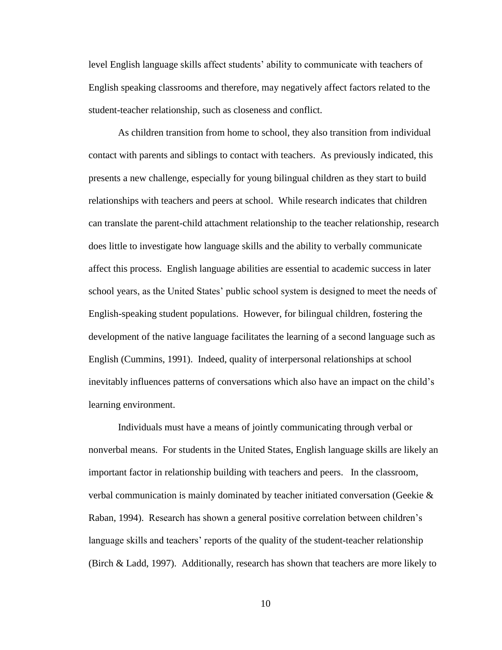level English language skills affect students' ability to communicate with teachers of English speaking classrooms and therefore, may negatively affect factors related to the student-teacher relationship, such as closeness and conflict.

As children transition from home to school, they also transition from individual contact with parents and siblings to contact with teachers. As previously indicated, this presents a new challenge, especially for young bilingual children as they start to build relationships with teachers and peers at school. While research indicates that children can translate the parent-child attachment relationship to the teacher relationship, research does little to investigate how language skills and the ability to verbally communicate affect this process. English language abilities are essential to academic success in later school years, as the United States' public school system is designed to meet the needs of English-speaking student populations. However, for bilingual children, fostering the development of the native language facilitates the learning of a second language such as English (Cummins, 1991). Indeed, quality of interpersonal relationships at school inevitably influences patterns of conversations which also have an impact on the child's learning environment.

Individuals must have a means of jointly communicating through verbal or nonverbal means. For students in the United States, English language skills are likely an important factor in relationship building with teachers and peers. In the classroom, verbal communication is mainly dominated by teacher initiated conversation (Geekie & Raban, 1994). Research has shown a general positive correlation between children's language skills and teachers' reports of the quality of the student-teacher relationship (Birch & Ladd, 1997). Additionally, research has shown that teachers are more likely to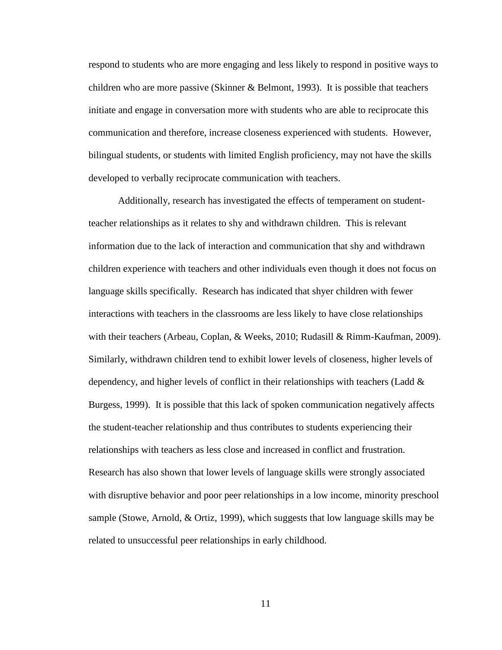respond to students who are more engaging and less likely to respond in positive ways to children who are more passive (Skinner & Belmont, 1993). It is possible that teachers initiate and engage in conversation more with students who are able to reciprocate this communication and therefore, increase closeness experienced with students. However, bilingual students, or students with limited English proficiency, may not have the skills developed to verbally reciprocate communication with teachers.

Additionally, research has investigated the effects of temperament on studentteacher relationships as it relates to shy and withdrawn children. This is relevant information due to the lack of interaction and communication that shy and withdrawn children experience with teachers and other individuals even though it does not focus on language skills specifically. Research has indicated that shyer children with fewer interactions with teachers in the classrooms are less likely to have close relationships with their teachers (Arbeau, Coplan, & Weeks, 2010; Rudasill & Rimm-Kaufman, 2009). Similarly, withdrawn children tend to exhibit lower levels of closeness, higher levels of dependency, and higher levels of conflict in their relationships with teachers (Ladd & Burgess, 1999). It is possible that this lack of spoken communication negatively affects the student-teacher relationship and thus contributes to students experiencing their relationships with teachers as less close and increased in conflict and frustration. Research has also shown that lower levels of language skills were strongly associated with disruptive behavior and poor peer relationships in a low income, minority preschool sample (Stowe, Arnold, & Ortiz, 1999), which suggests that low language skills may be related to unsuccessful peer relationships in early childhood.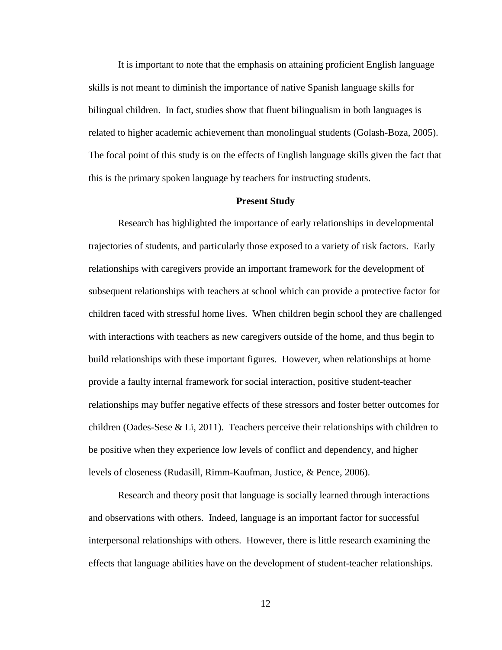It is important to note that the emphasis on attaining proficient English language skills is not meant to diminish the importance of native Spanish language skills for bilingual children. In fact, studies show that fluent bilingualism in both languages is related to higher academic achievement than monolingual students (Golash-Boza, 2005). The focal point of this study is on the effects of English language skills given the fact that this is the primary spoken language by teachers for instructing students.

#### **Present Study**

Research has highlighted the importance of early relationships in developmental trajectories of students, and particularly those exposed to a variety of risk factors. Early relationships with caregivers provide an important framework for the development of subsequent relationships with teachers at school which can provide a protective factor for children faced with stressful home lives. When children begin school they are challenged with interactions with teachers as new caregivers outside of the home, and thus begin to build relationships with these important figures. However, when relationships at home provide a faulty internal framework for social interaction, positive student-teacher relationships may buffer negative effects of these stressors and foster better outcomes for children (Oades-Sese & Li, 2011). Teachers perceive their relationships with children to be positive when they experience low levels of conflict and dependency, and higher levels of closeness (Rudasill, Rimm-Kaufman, Justice, & Pence, 2006).

Research and theory posit that language is socially learned through interactions and observations with others. Indeed, language is an important factor for successful interpersonal relationships with others. However, there is little research examining the effects that language abilities have on the development of student-teacher relationships.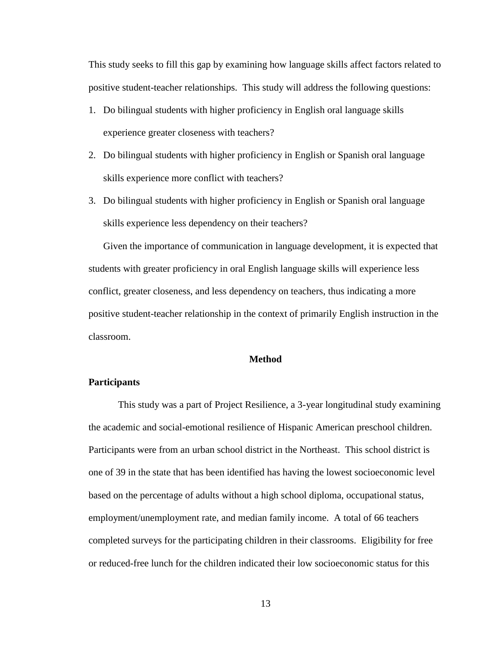This study seeks to fill this gap by examining how language skills affect factors related to positive student-teacher relationships. This study will address the following questions:

- 1. Do bilingual students with higher proficiency in English oral language skills experience greater closeness with teachers?
- 2. Do bilingual students with higher proficiency in English or Spanish oral language skills experience more conflict with teachers?
- 3. Do bilingual students with higher proficiency in English or Spanish oral language skills experience less dependency on their teachers?

Given the importance of communication in language development, it is expected that students with greater proficiency in oral English language skills will experience less conflict, greater closeness, and less dependency on teachers, thus indicating a more positive student-teacher relationship in the context of primarily English instruction in the classroom.

### **Method**

### <span id="page-19-0"></span>**Participants**

This study was a part of Project Resilience, a 3-year longitudinal study examining the academic and social-emotional resilience of Hispanic American preschool children. Participants were from an urban school district in the Northeast. This school district is one of 39 in the state that has been identified has having the lowest socioeconomic level based on the percentage of adults without a high school diploma, occupational status, employment/unemployment rate, and median family income. A total of 66 teachers completed surveys for the participating children in their classrooms. Eligibility for free or reduced-free lunch for the children indicated their low socioeconomic status for this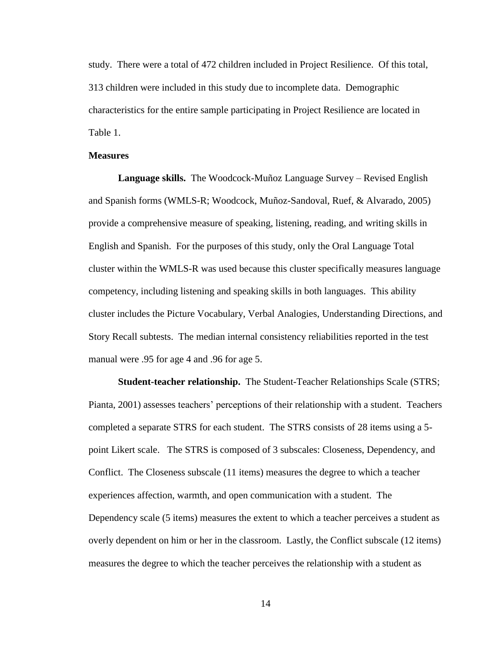study. There were a total of 472 children included in Project Resilience. Of this total, 313 children were included in this study due to incomplete data. Demographic characteristics for the entire sample participating in Project Resilience are located in Table 1.

### **Measures**

**Language skills.** The Woodcock-Muñoz Language Survey – Revised English and Spanish forms (WMLS-R; Woodcock, Muñoz-Sandoval, Ruef, & Alvarado, 2005) provide a comprehensive measure of speaking, listening, reading, and writing skills in English and Spanish. For the purposes of this study, only the Oral Language Total cluster within the WMLS-R was used because this cluster specifically measures language competency, including listening and speaking skills in both languages. This ability cluster includes the Picture Vocabulary, Verbal Analogies, Understanding Directions, and Story Recall subtests. The median internal consistency reliabilities reported in the test manual were .95 for age 4 and .96 for age 5.

**Student-teacher relationship.**The Student-Teacher Relationships Scale (STRS; Pianta, 2001) assesses teachers' perceptions of their relationship with a student. Teachers completed a separate STRS for each student. The STRS consists of 28 items using a 5 point Likert scale. The STRS is composed of 3 subscales: Closeness, Dependency, and Conflict. The Closeness subscale (11 items) measures the degree to which a teacher experiences affection, warmth, and open communication with a student. The Dependency scale (5 items) measures the extent to which a teacher perceives a student as overly dependent on him or her in the classroom. Lastly, the Conflict subscale (12 items) measures the degree to which the teacher perceives the relationship with a student as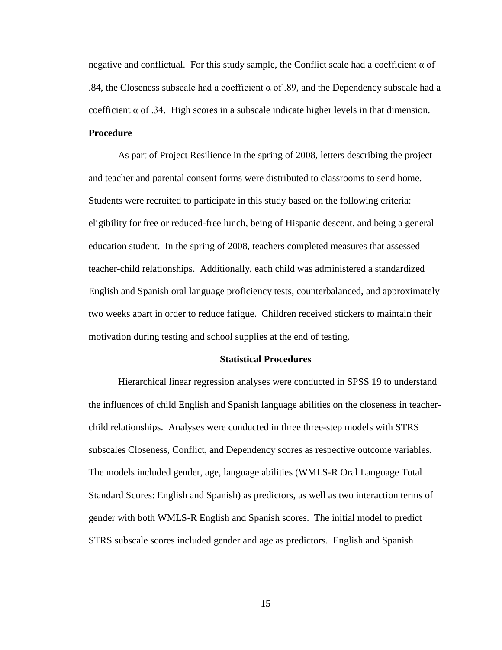negative and conflictual. For this study sample, the Conflict scale had a coefficient  $\alpha$  of .84, the Closeness subscale had a coefficient  $\alpha$  of .89, and the Dependency subscale had a coefficient  $\alpha$  of .34. High scores in a subscale indicate higher levels in that dimension. **Procedure**

As part of Project Resilience in the spring of 2008, letters describing the project and teacher and parental consent forms were distributed to classrooms to send home. Students were recruited to participate in this study based on the following criteria: eligibility for free or reduced-free lunch, being of Hispanic descent, and being a general education student. In the spring of 2008, teachers completed measures that assessed teacher-child relationships. Additionally, each child was administered a standardized English and Spanish oral language proficiency tests, counterbalanced, and approximately two weeks apart in order to reduce fatigue. Children received stickers to maintain their motivation during testing and school supplies at the end of testing.

#### **Statistical Procedures**

Hierarchical linear regression analyses were conducted in SPSS 19 to understand the influences of child English and Spanish language abilities on the closeness in teacherchild relationships. Analyses were conducted in three three-step models with STRS subscales Closeness, Conflict, and Dependency scores as respective outcome variables. The models included gender, age, language abilities (WMLS-R Oral Language Total Standard Scores: English and Spanish) as predictors, as well as two interaction terms of gender with both WMLS-R English and Spanish scores. The initial model to predict STRS subscale scores included gender and age as predictors. English and Spanish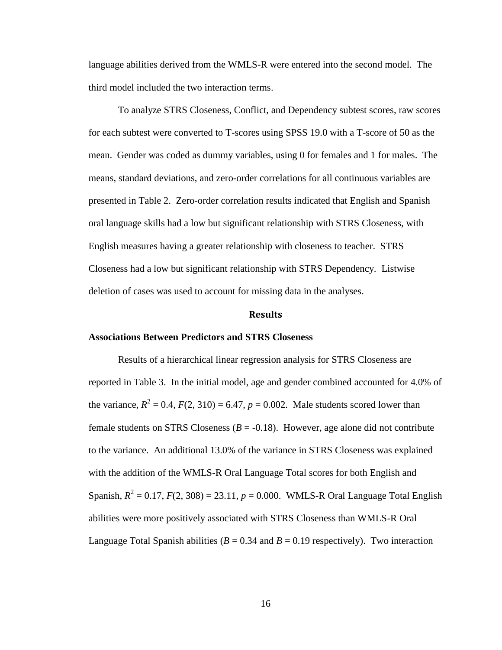language abilities derived from the WMLS-R were entered into the second model. The third model included the two interaction terms.

To analyze STRS Closeness, Conflict, and Dependency subtest scores, raw scores for each subtest were converted to T-scores using SPSS 19.0 with a T-score of 50 as the mean. Gender was coded as dummy variables, using 0 for females and 1 for males. The means, standard deviations, and zero-order correlations for all continuous variables are presented in Table 2. Zero-order correlation results indicated that English and Spanish oral language skills had a low but significant relationship with STRS Closeness, with English measures having a greater relationship with closeness to teacher. STRS Closeness had a low but significant relationship with STRS Dependency. Listwise deletion of cases was used to account for missing data in the analyses.

### **Results**

#### <span id="page-22-0"></span>**Associations Between Predictors and STRS Closeness**

Results of a hierarchical linear regression analysis for STRS Closeness are reported in Table 3. In the initial model, age and gender combined accounted for 4.0% of the variance,  $R^2 = 0.4$ ,  $F(2, 310) = 6.47$ ,  $p = 0.002$ . Male students scored lower than female students on STRS Closeness  $(B = -0.18)$ . However, age alone did not contribute to the variance. An additional 13.0% of the variance in STRS Closeness was explained with the addition of the WMLS-R Oral Language Total scores for both English and Spanish,  $R^2 = 0.17$ ,  $F(2, 308) = 23.11$ ,  $p = 0.000$ . WMLS-R Oral Language Total English abilities were more positively associated with STRS Closeness than WMLS-R Oral Language Total Spanish abilities ( $B = 0.34$  and  $B = 0.19$  respectively). Two interaction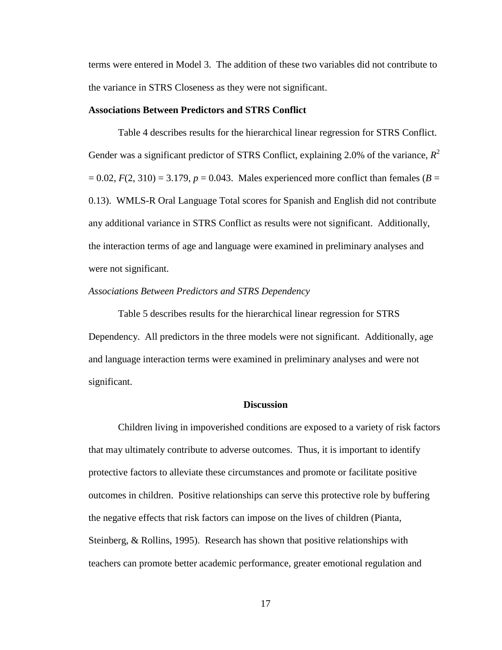terms were entered in Model 3. The addition of these two variables did not contribute to the variance in STRS Closeness as they were not significant.

### **Associations Between Predictors and STRS Conflict**

Table 4 describes results for the hierarchical linear regression for STRS Conflict. Gender was a significant predictor of STRS Conflict, explaining 2.0% of the variance,  $R^2$  $= 0.02$ ,  $F(2, 310) = 3.179$ ,  $p = 0.043$ . Males experienced more conflict than females ( $B = 0.02$ ) 0.13). WMLS-R Oral Language Total scores for Spanish and English did not contribute any additional variance in STRS Conflict as results were not significant. Additionally, the interaction terms of age and language were examined in preliminary analyses and were not significant.

#### *Associations Between Predictors and STRS Dependency*

Table 5 describes results for the hierarchical linear regression for STRS Dependency. All predictors in the three models were not significant. Additionally, age and language interaction terms were examined in preliminary analyses and were not significant.

### **Discussion**

<span id="page-23-0"></span>Children living in impoverished conditions are exposed to a variety of risk factors that may ultimately contribute to adverse outcomes. Thus, it is important to identify protective factors to alleviate these circumstances and promote or facilitate positive outcomes in children. Positive relationships can serve this protective role by buffering the negative effects that risk factors can impose on the lives of children (Pianta, Steinberg, & Rollins, 1995). Research has shown that positive relationships with teachers can promote better academic performance, greater emotional regulation and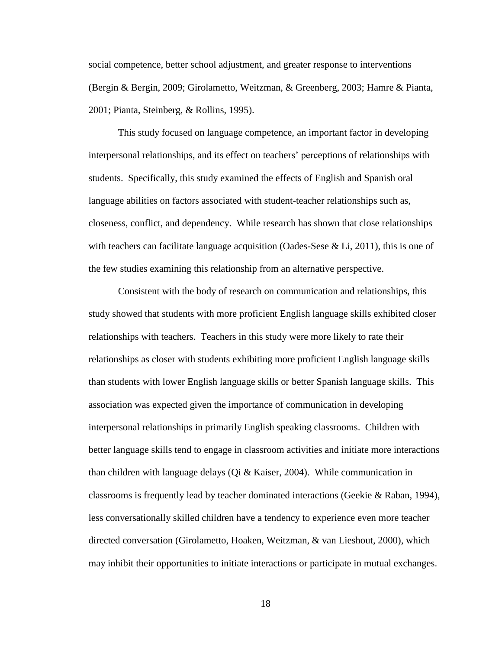social competence, better school adjustment, and greater response to interventions (Bergin & Bergin, 2009; Girolametto, Weitzman, & Greenberg, 2003; Hamre & Pianta, 2001; Pianta, Steinberg, & Rollins, 1995).

This study focused on language competence, an important factor in developing interpersonal relationships, and its effect on teachers' perceptions of relationships with students. Specifically, this study examined the effects of English and Spanish oral language abilities on factors associated with student-teacher relationships such as, closeness, conflict, and dependency. While research has shown that close relationships with teachers can facilitate language acquisition (Oades-Sese  $\&$  Li, 2011), this is one of the few studies examining this relationship from an alternative perspective.

Consistent with the body of research on communication and relationships, this study showed that students with more proficient English language skills exhibited closer relationships with teachers. Teachers in this study were more likely to rate their relationships as closer with students exhibiting more proficient English language skills than students with lower English language skills or better Spanish language skills. This association was expected given the importance of communication in developing interpersonal relationships in primarily English speaking classrooms. Children with better language skills tend to engage in classroom activities and initiate more interactions than children with language delays (Qi & Kaiser, 2004). While communication in classrooms is frequently lead by teacher dominated interactions (Geekie & Raban, 1994), less conversationally skilled children have a tendency to experience even more teacher directed conversation (Girolametto, Hoaken, Weitzman, & van Lieshout, 2000), which may inhibit their opportunities to initiate interactions or participate in mutual exchanges.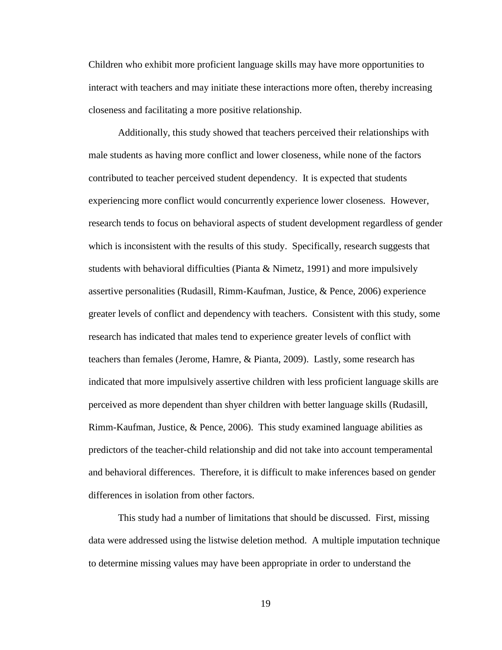Children who exhibit more proficient language skills may have more opportunities to interact with teachers and may initiate these interactions more often, thereby increasing closeness and facilitating a more positive relationship.

Additionally, this study showed that teachers perceived their relationships with male students as having more conflict and lower closeness, while none of the factors contributed to teacher perceived student dependency. It is expected that students experiencing more conflict would concurrently experience lower closeness. However, research tends to focus on behavioral aspects of student development regardless of gender which is inconsistent with the results of this study. Specifically, research suggests that students with behavioral difficulties (Pianta & Nimetz, 1991) and more impulsively assertive personalities (Rudasill, Rimm-Kaufman, Justice, & Pence, 2006) experience greater levels of conflict and dependency with teachers. Consistent with this study, some research has indicated that males tend to experience greater levels of conflict with teachers than females (Jerome, Hamre, & Pianta, 2009). Lastly, some research has indicated that more impulsively assertive children with less proficient language skills are perceived as more dependent than shyer children with better language skills (Rudasill, Rimm-Kaufman, Justice, & Pence, 2006). This study examined language abilities as predictors of the teacher-child relationship and did not take into account temperamental and behavioral differences. Therefore, it is difficult to make inferences based on gender differences in isolation from other factors.

This study had a number of limitations that should be discussed. First, missing data were addressed using the listwise deletion method. A multiple imputation technique to determine missing values may have been appropriate in order to understand the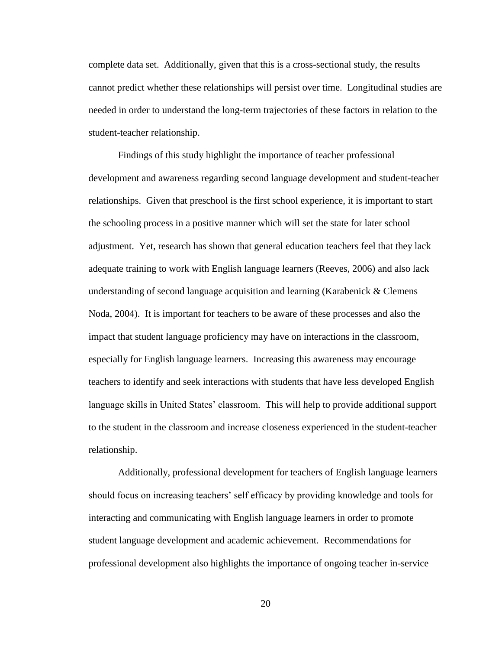complete data set. Additionally, given that this is a cross-sectional study, the results cannot predict whether these relationships will persist over time. Longitudinal studies are needed in order to understand the long-term trajectories of these factors in relation to the student-teacher relationship.

Findings of this study highlight the importance of teacher professional development and awareness regarding second language development and student-teacher relationships. Given that preschool is the first school experience, it is important to start the schooling process in a positive manner which will set the state for later school adjustment. Yet, research has shown that general education teachers feel that they lack adequate training to work with English language learners (Reeves, 2006) and also lack understanding of second language acquisition and learning (Karabenick & Clemens Noda, 2004). It is important for teachers to be aware of these processes and also the impact that student language proficiency may have on interactions in the classroom, especially for English language learners. Increasing this awareness may encourage teachers to identify and seek interactions with students that have less developed English language skills in United States' classroom. This will help to provide additional support to the student in the classroom and increase closeness experienced in the student-teacher relationship.

Additionally, professional development for teachers of English language learners should focus on increasing teachers' self efficacy by providing knowledge and tools for interacting and communicating with English language learners in order to promote student language development and academic achievement. Recommendations for professional development also highlights the importance of ongoing teacher in-service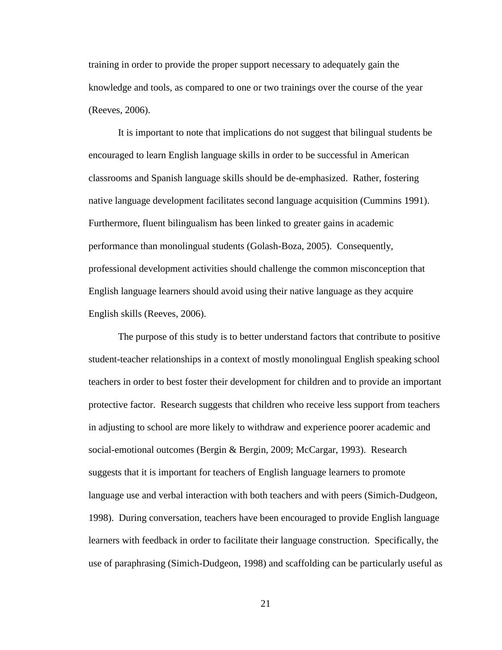training in order to provide the proper support necessary to adequately gain the knowledge and tools, as compared to one or two trainings over the course of the year (Reeves, 2006).

It is important to note that implications do not suggest that bilingual students be encouraged to learn English language skills in order to be successful in American classrooms and Spanish language skills should be de-emphasized. Rather, fostering native language development facilitates second language acquisition (Cummins 1991). Furthermore, fluent bilingualism has been linked to greater gains in academic performance than monolingual students (Golash-Boza, 2005). Consequently, professional development activities should challenge the common misconception that English language learners should avoid using their native language as they acquire English skills (Reeves, 2006).

The purpose of this study is to better understand factors that contribute to positive student-teacher relationships in a context of mostly monolingual English speaking school teachers in order to best foster their development for children and to provide an important protective factor. Research suggests that children who receive less support from teachers in adjusting to school are more likely to withdraw and experience poorer academic and social-emotional outcomes (Bergin & Bergin, 2009; McCargar, 1993). Research suggests that it is important for teachers of English language learners to promote language use and verbal interaction with both teachers and with peers (Simich-Dudgeon, 1998). During conversation, teachers have been encouraged to provide English language learners with feedback in order to facilitate their language construction. Specifically, the use of paraphrasing (Simich-Dudgeon, 1998) and scaffolding can be particularly useful as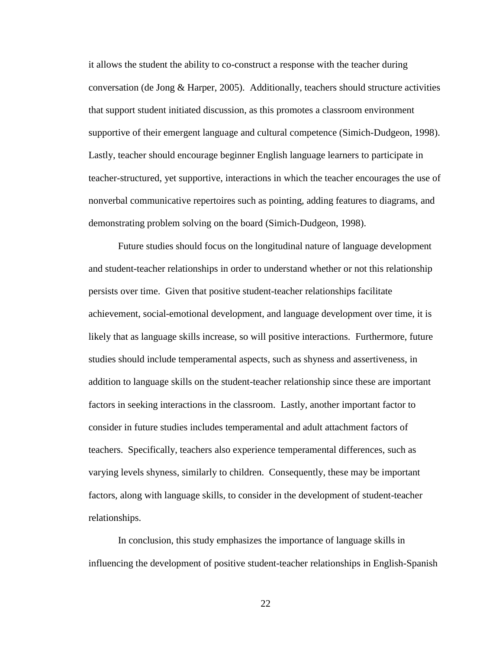it allows the student the ability to co-construct a response with the teacher during conversation (de Jong & Harper, 2005). Additionally, teachers should structure activities that support student initiated discussion, as this promotes a classroom environment supportive of their emergent language and cultural competence (Simich-Dudgeon, 1998). Lastly, teacher should encourage beginner English language learners to participate in teacher-structured, yet supportive, interactions in which the teacher encourages the use of nonverbal communicative repertoires such as pointing, adding features to diagrams, and demonstrating problem solving on the board (Simich-Dudgeon, 1998).

Future studies should focus on the longitudinal nature of language development and student-teacher relationships in order to understand whether or not this relationship persists over time. Given that positive student-teacher relationships facilitate achievement, social-emotional development, and language development over time, it is likely that as language skills increase, so will positive interactions. Furthermore, future studies should include temperamental aspects, such as shyness and assertiveness, in addition to language skills on the student-teacher relationship since these are important factors in seeking interactions in the classroom. Lastly, another important factor to consider in future studies includes temperamental and adult attachment factors of teachers. Specifically, teachers also experience temperamental differences, such as varying levels shyness, similarly to children. Consequently, these may be important factors, along with language skills, to consider in the development of student-teacher relationships.

In conclusion, this study emphasizes the importance of language skills in influencing the development of positive student-teacher relationships in English-Spanish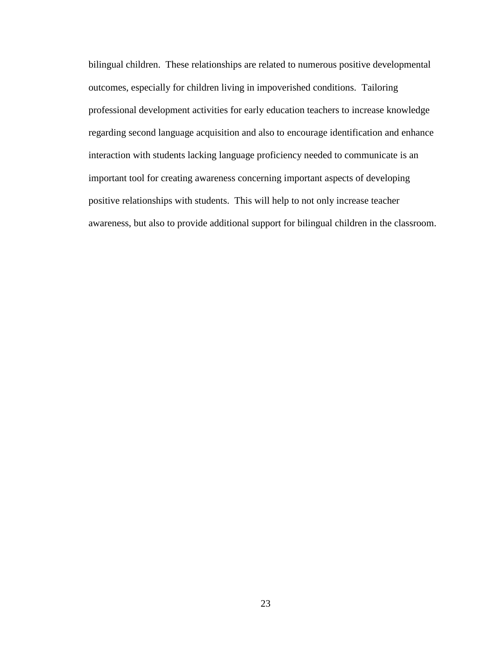bilingual children. These relationships are related to numerous positive developmental outcomes, especially for children living in impoverished conditions. Tailoring professional development activities for early education teachers to increase knowledge regarding second language acquisition and also to encourage identification and enhance interaction with students lacking language proficiency needed to communicate is an important tool for creating awareness concerning important aspects of developing positive relationships with students. This will help to not only increase teacher awareness, but also to provide additional support for bilingual children in the classroom.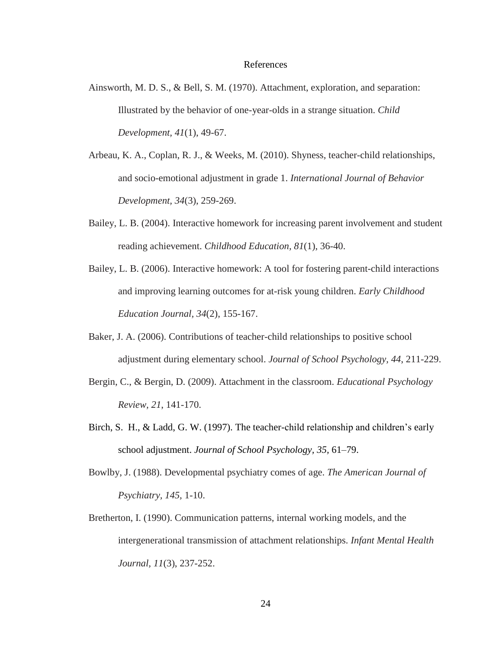#### References

- <span id="page-30-0"></span>Ainsworth, M. D. S., & Bell, S. M. (1970). Attachment, exploration, and separation: Illustrated by the behavior of one-year-olds in a strange situation. *Child Development, 41*(1), 49-67.
- Arbeau, K. A., Coplan, R. J., & Weeks, M. (2010). Shyness, teacher-child relationships, and socio-emotional adjustment in grade 1. *International Journal of Behavior Development, 34*(3), 259-269.
- Bailey, L. B. (2004). Interactive homework for increasing parent involvement and student reading achievement. *Childhood Education, 81*(1), 36-40.
- Bailey, L. B. (2006). Interactive homework: A tool for fostering parent-child interactions and improving learning outcomes for at-risk young children. *Early Childhood Education Journal, 34*(2), 155-167.
- Baker, J. A. (2006). Contributions of teacher-child relationships to positive school adjustment during elementary school. *Journal of School Psychology, 44*, 211-229.
- Bergin, C., & Bergin, D. (2009). Attachment in the classroom. *Educational Psychology Review, 21*, 141-170.
- Birch, S. H., & Ladd, G. W. (1997). The teacher-child relationship and children's early school adjustment. *Journal of School Psychology, 35,* 61–79.
- Bowlby, J. (1988). Developmental psychiatry comes of age. *The American Journal of Psychiatry, 145,* 1-10.
- Bretherton, I. (1990). Communication patterns, internal working models, and the intergenerational transmission of attachment relationships. *Infant Mental Health Journal, 11*(3), 237-252.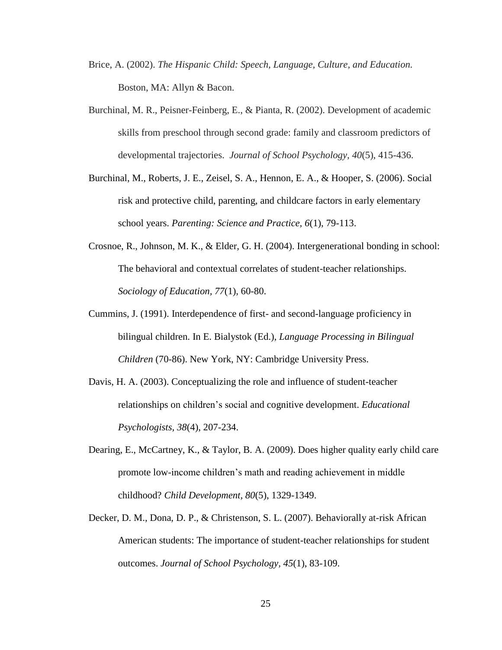- Brice, A. (2002). *The Hispanic Child: Speech, Language, Culture, and Education.* Boston, MA: Allyn & Bacon.
- Burchinal, M. R., Peisner-Feinberg, E., & Pianta, R. (2002). Development of academic skills from preschool through second grade: family and classroom predictors of developmental trajectories. *Journal of School Psychology, 40*(5), 415-436.
- Burchinal, M., Roberts, J. E., Zeisel, S. A., Hennon, E. A., & Hooper, S. (2006). Social risk and protective child, parenting, and childcare factors in early elementary school years. *Parenting: Science and Practice, 6*(1), 79-113.
- Crosnoe, R., Johnson, M. K., & Elder, G. H. (2004). Intergenerational bonding in school: The behavioral and contextual correlates of student-teacher relationships. *Sociology of Education, 77*(1), 60-80.
- Cummins, J. (1991). Interdependence of first- and second-language proficiency in bilingual children. In E. Bialystok (Ed.), *Language Processing in Bilingual Children* (70-86). New York, NY: Cambridge University Press.
- Davis, H. A. (2003). Conceptualizing the role and influence of student-teacher relationships on children's social and cognitive development. *Educational Psychologists, 38*(4), 207-234.
- Dearing, E., McCartney, K., & Taylor, B. A. (2009). Does higher quality early child care promote low-income children's math and reading achievement in middle childhood? *Child Development, 80*(5), 1329-1349.
- Decker, D. M., Dona, D. P., & Christenson, S. L. (2007). Behaviorally at-risk African American students: The importance of student-teacher relationships for student outcomes. *Journal of School Psychology, 45*(1), 83-109.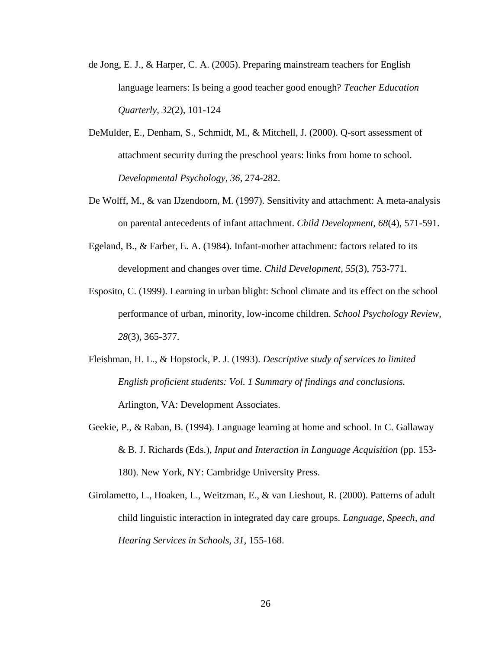- de Jong, E. J., & Harper, C. A. (2005). Preparing mainstream teachers for English language learners: Is being a good teacher good enough? *Teacher Education Quarterly, 32*(2), 101-124
- DeMulder, E., Denham, S., Schmidt, M., & Mitchell, J. (2000). Q-sort assessment of attachment security during the preschool years: links from home to school. *Developmental Psychology, 36,* 274-282.
- De Wolff, M., & van IJzendoorn, M. (1997). Sensitivity and attachment: A meta-analysis on parental antecedents of infant attachment. *Child Development, 68*(4), 571-591.
- Egeland, B., & Farber, E. A. (1984). Infant-mother attachment: factors related to its development and changes over time. *Child Development, 55*(3), 753-771.
- Esposito, C. (1999). Learning in urban blight: School climate and its effect on the school performance of urban, minority, low-income children. *School Psychology Review, 28*(3), 365-377.
- Fleishman, H. L., & Hopstock, P. J. (1993). *Descriptive study of services to limited English proficient students: Vol. 1 Summary of findings and conclusions.* Arlington, VA: Development Associates.
- Geekie, P., & Raban, B. (1994). Language learning at home and school. In C. Gallaway & B. J. Richards (Eds.), *Input and Interaction in Language Acquisition* (pp. 153- 180). New York, NY: Cambridge University Press.
- Girolametto, L., Hoaken, L., Weitzman, E., & van Lieshout, R. (2000). Patterns of adult child linguistic interaction in integrated day care groups. *Language, Speech, and Hearing Services in Schools, 31*, 155-168.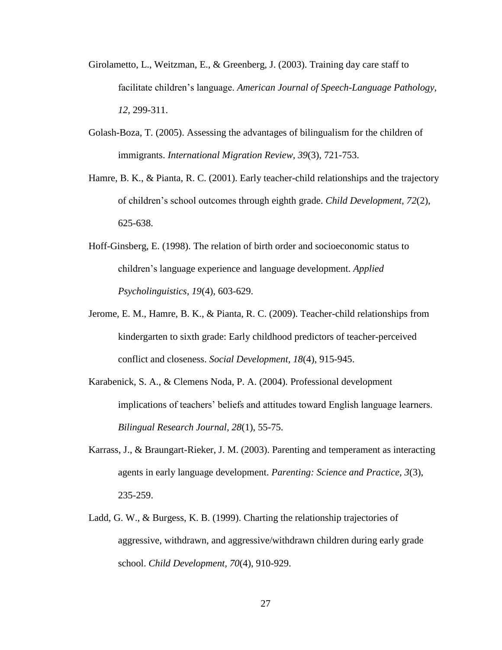- Girolametto, L., Weitzman, E., & Greenberg, J. (2003). Training day care staff to facilitate children's language. *American Journal of Speech-Language Pathology, 12,* 299-311.
- Golash-Boza, T. (2005). Assessing the advantages of bilingualism for the children of immigrants. *International Migration Review, 39*(3), 721-753.
- Hamre, B. K., & Pianta, R. C. (2001). Early teacher-child relationships and the trajectory of children's school outcomes through eighth grade. *Child Development, 72*(2), 625-638.
- Hoff-Ginsberg, E. (1998). The relation of birth order and socioeconomic status to children's language experience and language development. *Applied Psycholinguistics, 19*(4), 603-629.
- Jerome, E. M., Hamre, B. K., & Pianta, R. C. (2009). Teacher-child relationships from kindergarten to sixth grade: Early childhood predictors of teacher-perceived conflict and closeness. *Social Development, 18*(4), 915-945.
- Karabenick, S. A., & Clemens Noda, P. A. (2004). Professional development implications of teachers' beliefs and attitudes toward English language learners. *Bilingual Research Journal, 28*(1), 55-75.
- Karrass, J., & Braungart-Rieker, J. M. (2003). Parenting and temperament as interacting agents in early language development. *Parenting: Science and Practice, 3*(3), 235-259.
- Ladd, G. W., & Burgess, K. B. (1999). Charting the relationship trajectories of aggressive, withdrawn, and aggressive/withdrawn children during early grade school. *Child Development, 70*(4), 910-929.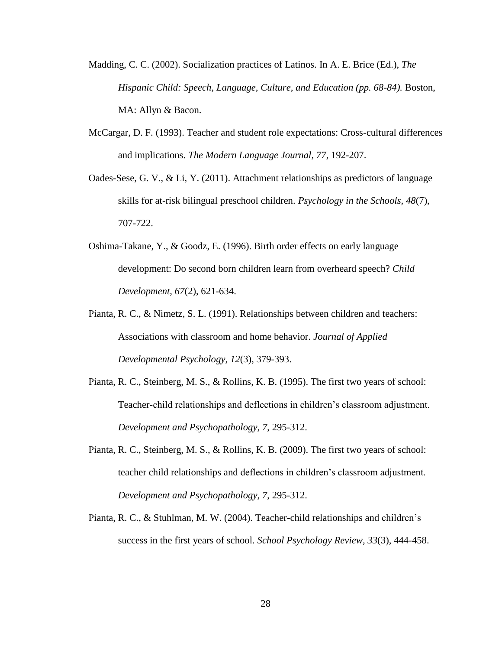- Madding, C. C. (2002). Socialization practices of Latinos. In A. E. Brice (Ed.), *The Hispanic Child: Speech, Language, Culture, and Education (pp. 68-84).* Boston, MA: Allyn & Bacon.
- McCargar, D. F. (1993). Teacher and student role expectations: Cross-cultural differences and implications. *The Modern Language Journal, 77*, 192-207.
- Oades-Sese, G. V., & Li, Y. (2011). Attachment relationships as predictors of language skills for at-risk bilingual preschool children. *Psychology in the Schools, 48*(7), 707-722.
- Oshima-Takane, Y., & Goodz, E. (1996). Birth order effects on early language development: Do second born children learn from overheard speech? *Child Development, 67*(2), 621-634.
- Pianta, R. C., & Nimetz, S. L. (1991). Relationships between children and teachers: Associations with classroom and home behavior. *Journal of Applied Developmental Psychology, 12*(3), 379-393.
- Pianta, R. C., Steinberg, M. S., & Rollins, K. B. (1995). The first two years of school: Teacher-child relationships and deflections in children's classroom adjustment. *Development and Psychopathology, 7*, 295-312.
- Pianta, R. C., Steinberg, M. S., & Rollins, K. B. (2009). The first two years of school: teacher child relationships and deflections in children's classroom adjustment. *Development and Psychopathology, 7*, 295-312.
- Pianta, R. C., & Stuhlman, M. W. (2004). Teacher-child relationships and children's success in the first years of school. *School Psychology Review, 33*(3), 444-458.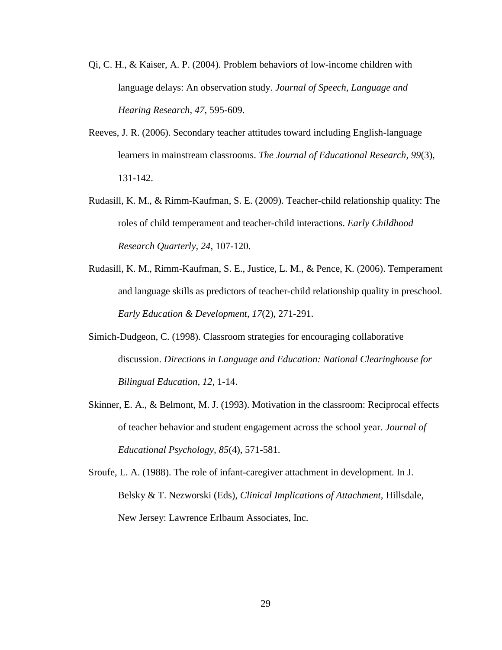- Qi, C. H., & Kaiser, A. P. (2004). Problem behaviors of low-income children with language delays: An observation study. *Journal of Speech, Language and Hearing Research, 47,* 595-609.
- Reeves, J. R. (2006). Secondary teacher attitudes toward including English-language learners in mainstream classrooms. *The Journal of Educational Research, 99*(3), 131-142.
- Rudasill, K. M., & Rimm-Kaufman, S. E. (2009). Teacher-child relationship quality: The roles of child temperament and teacher-child interactions. *Early Childhood Research Quarterly, 24*, 107-120.
- Rudasill, K. M., Rimm-Kaufman, S. E., Justice, L. M., & Pence, K. (2006). Temperament and language skills as predictors of teacher-child relationship quality in preschool. *Early Education & Development, 17*(2), 271-291.
- Simich-Dudgeon, C. (1998). Classroom strategies for encouraging collaborative discussion. *Directions in Language and Education: National Clearinghouse for Bilingual Education, 12,* 1-14.
- Skinner, E. A., & Belmont, M. J. (1993). Motivation in the classroom: Reciprocal effects of teacher behavior and student engagement across the school year. *Journal of Educational Psychology, 85*(4), 571-581.
- Sroufe, L. A. (1988). The role of infant-caregiver attachment in development. In J. Belsky & T. Nezworski (Eds), *Clinical Implications of Attachment,* Hillsdale, New Jersey: Lawrence Erlbaum Associates, Inc.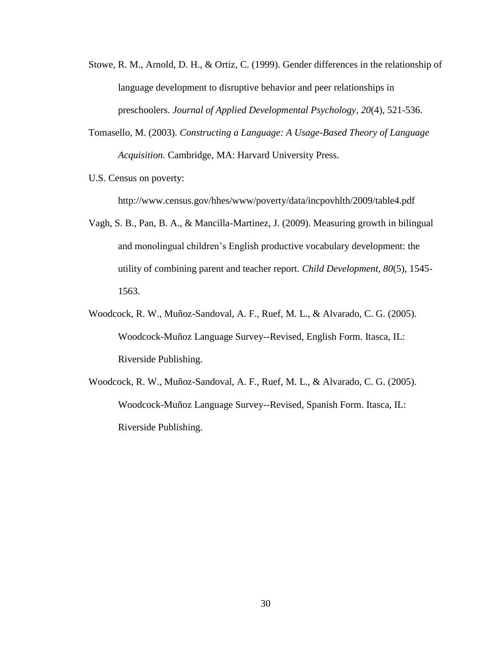- Stowe, R. M., Arnold, D. H., & Ortiz, C. (1999). Gender differences in the relationship of language development to disruptive behavior and peer relationships in preschoolers. *Journal of Applied Developmental Psychology, 20*(4), 521-536.
- Tomasello, M. (2003). *Constructing a Language: A Usage-Based Theory of Language Acquisition.* Cambridge, MA: Harvard University Press.
- U.S. Census on poverty:

http://www.census.gov/hhes/www/poverty/data/incpovhlth/2009/table4.pdf

- Vagh, S. B., Pan, B. A., & Mancilla-Martinez, J. (2009). Measuring growth in bilingual and monolingual children's English productive vocabulary development: the utility of combining parent and teacher report. *Child Development, 80*(5), 1545- 1563.
- Woodcock, R. W., Muñoz-Sandoval, A. F., Ruef, M. L., & Alvarado, C. G. (2005). Woodcock-Muñoz Language Survey--Revised, English Form. Itasca, IL: Riverside Publishing.
- Woodcock, R. W., Muñoz-Sandoval, A. F., Ruef, M. L., & Alvarado, C. G. (2005). Woodcock-Muñoz Language Survey--Revised, Spanish Form. Itasca, IL: Riverside Publishing.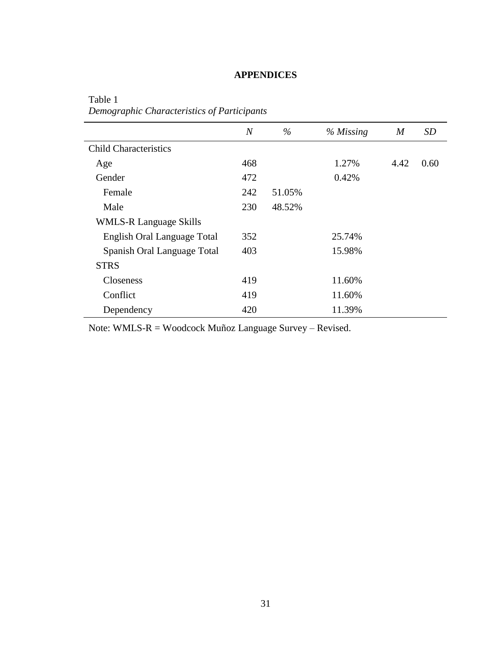# **APPENDICES**

|                                    | $\boldsymbol{N}$ | $\%$   | $%$ Missing | $\boldsymbol{M}$ | SD   |
|------------------------------------|------------------|--------|-------------|------------------|------|
| <b>Child Characteristics</b>       |                  |        |             |                  |      |
| Age                                | 468              |        | 1.27%       | 4.42             | 0.60 |
| Gender                             | 472              |        | 0.42%       |                  |      |
| Female                             | 242              | 51.05% |             |                  |      |
| Male                               | 230              | 48.52% |             |                  |      |
| <b>WMLS-R Language Skills</b>      |                  |        |             |                  |      |
| <b>English Oral Language Total</b> | 352              |        | 25.74%      |                  |      |
| Spanish Oral Language Total        | 403              |        | 15.98%      |                  |      |
| <b>STRS</b>                        |                  |        |             |                  |      |
| Closeness                          | 419              |        | 11.60%      |                  |      |
| Conflict                           | 419              |        | 11.60%      |                  |      |
| Dependency                         | 420              |        | 11.39%      |                  |      |

<span id="page-37-0"></span>Table 1 *Demographic Characteristics of Participants*

Note: WMLS-R = Woodcock Muñoz Language Survey – Revised.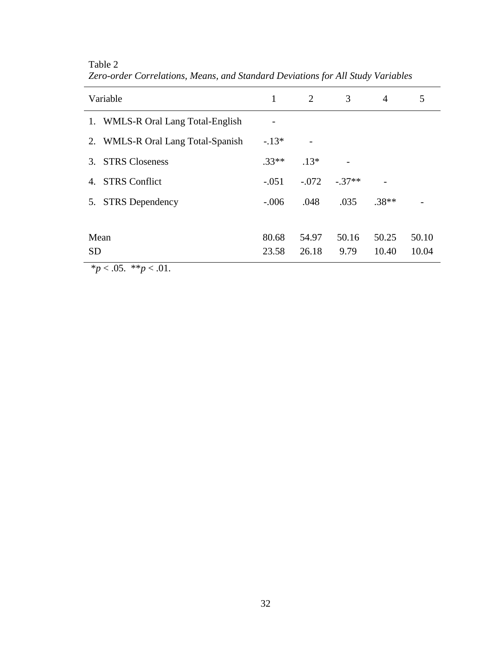| Variable                                      | 1       | 2       | 3        | $\overline{4}$ | 5     |
|-----------------------------------------------|---------|---------|----------|----------------|-------|
| 1. WMLS-R Oral Lang Total-English             |         |         |          |                |       |
| 2. WMLS-R Oral Lang Total-Spanish             | $-.13*$ |         |          |                |       |
| <b>STRS Closeness</b><br>3.                   | $.33**$ | $.13*$  |          |                |       |
| <b>STRS</b> Conflict<br>4.                    | $-.051$ | $-.072$ | $-.37**$ |                |       |
| <b>STRS</b> Dependency<br>5.                  | $-.006$ | .048    | .035     | $.38**$        |       |
|                                               |         |         |          |                |       |
| Mean                                          | 80.68   | 54.97   | 50.16    | 50.25          | 50.10 |
| <b>SD</b>                                     | 23.58   | 26.18   | 9.79     | 10.40          | 10.04 |
| 44.701<br>$\star$ $\sim$ $\Lambda$ $\epsilon$ |         |         |          |                |       |

Table 2 *Zero-order Correlations, Means, and Standard Deviations for All Study Variables*

 $**p* < .05.$  \*\* $$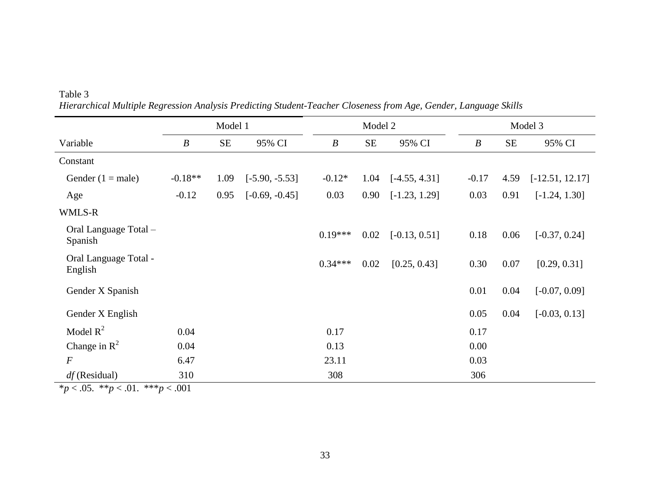|                                  | Model 1          |          | Model 2          |                  |      | Model 3         |                  |      |                   |
|----------------------------------|------------------|----------|------------------|------------------|------|-----------------|------------------|------|-------------------|
| Variable                         | $\boldsymbol{B}$ | $\rm SE$ | 95% CI           | $\boldsymbol{B}$ | SE   | 95% CI          | $\boldsymbol{B}$ | SE   | 95% CI            |
| Constant                         |                  |          |                  |                  |      |                 |                  |      |                   |
| Gender $(1 = male)$              | $-0.18**$        | 1.09     | $[-5.90, -5.53]$ | $-0.12*$         | 1.04 | $[-4.55, 4.31]$ | $-0.17$          | 4.59 | $[-12.51, 12.17]$ |
| Age                              | $-0.12$          | 0.95     | $[-0.69, -0.45]$ | 0.03             | 0.90 | $[-1.23, 1.29]$ | 0.03             | 0.91 | $[-1.24, 1.30]$   |
| WMLS-R                           |                  |          |                  |                  |      |                 |                  |      |                   |
| Oral Language Total -<br>Spanish |                  |          |                  | $0.19***$        | 0.02 | $[-0.13, 0.51]$ | 0.18             | 0.06 | $[-0.37, 0.24]$   |
| Oral Language Total -<br>English |                  |          |                  | $0.34***$        | 0.02 | [0.25, 0.43]    | 0.30             | 0.07 | [0.29, 0.31]      |
| Gender X Spanish                 |                  |          |                  |                  |      |                 | 0.01             | 0.04 | $[-0.07, 0.09]$   |
| Gender X English                 |                  |          |                  |                  |      |                 | 0.05             | 0.04 | $[-0.03, 0.13]$   |
| Model $R^2$                      | 0.04             |          |                  | 0.17             |      |                 | 0.17             |      |                   |
| Change in $R^2$                  | 0.04             |          |                  | 0.13             |      |                 | 0.00             |      |                   |
| $\cal F$                         | 6.47             |          |                  | 23.11            |      |                 | 0.03             |      |                   |
| $df$ (Residual)                  | 310              |          |                  | 308              |      |                 | 306              |      |                   |

Table 3 *Hierarchical Multiple Regression Analysis Predicting Student-Teacher Closeness from Age, Gender, Language Skills*

\**p* < .05. \*\**p* < .01. \*\*\**p* < .001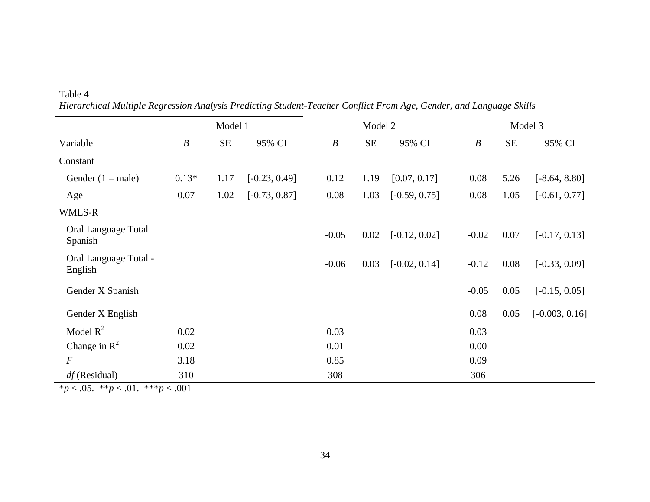|                                  |                  | Model 1<br>Model 2<br>Model 3 |                 |                  |          |                 |                  |          |                  |
|----------------------------------|------------------|-------------------------------|-----------------|------------------|----------|-----------------|------------------|----------|------------------|
| Variable                         | $\boldsymbol{B}$ | $\rm SE$                      | 95% CI          | $\boldsymbol{B}$ | $\rm SE$ | 95% CI          | $\boldsymbol{B}$ | $\rm SE$ | 95% CI           |
| Constant                         |                  |                               |                 |                  |          |                 |                  |          |                  |
| Gender $(1 = male)$              | $0.13*$          | 1.17                          | $[-0.23, 0.49]$ | 0.12             | 1.19     | [0.07, 0.17]    | 0.08             | 5.26     | $[-8.64, 8.80]$  |
| Age                              | 0.07             | 1.02                          | $[-0.73, 0.87]$ | 0.08             | 1.03     | $[-0.59, 0.75]$ | 0.08             | 1.05     | $[-0.61, 0.77]$  |
| WMLS-R                           |                  |                               |                 |                  |          |                 |                  |          |                  |
| Oral Language Total -<br>Spanish |                  |                               |                 | $-0.05$          | 0.02     | $[-0.12, 0.02]$ | $-0.02$          | 0.07     | $[-0.17, 0.13]$  |
| Oral Language Total -<br>English |                  |                               |                 | $-0.06$          | 0.03     | $[-0.02, 0.14]$ | $-0.12$          | 0.08     | $[-0.33, 0.09]$  |
| Gender X Spanish                 |                  |                               |                 |                  |          |                 | $-0.05$          | 0.05     | $[-0.15, 0.05]$  |
| Gender X English                 |                  |                               |                 |                  |          |                 | 0.08             | 0.05     | $[-0.003, 0.16]$ |
| Model $R^2$                      | 0.02             |                               |                 | 0.03             |          |                 | 0.03             |          |                  |
| Change in $R^2$                  | 0.02             |                               |                 | 0.01             |          |                 | 0.00             |          |                  |
| $\cal F$                         | 3.18             |                               |                 | 0.85             |          |                 | 0.09             |          |                  |
| $df$ (Residual)                  | 310              |                               |                 | 308              |          |                 | 306              |          |                  |

Table 4 *Hierarchical Multiple Regression Analysis Predicting Student-Teacher Conflict From Age, Gender, and Language Skills*

 $*_{p < .05.} *_{p < .01.} * *_{p < .001}$